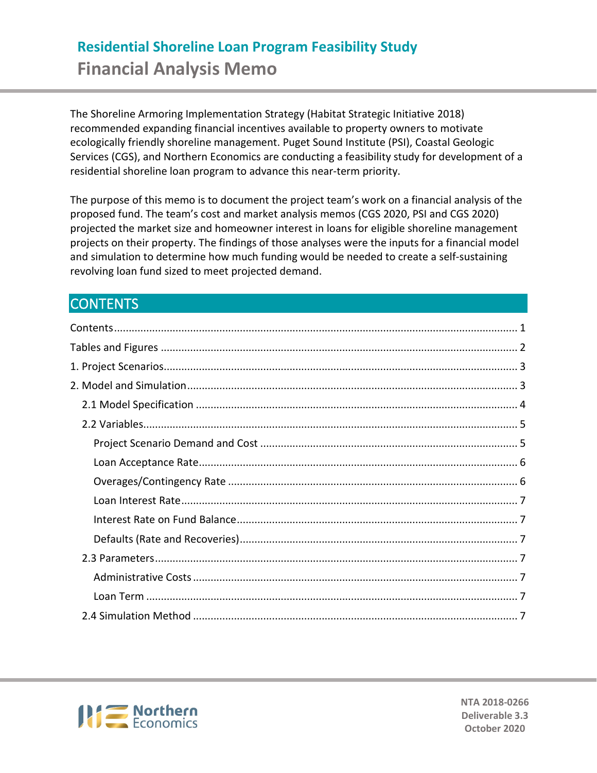# **Residential Shoreline Loan Program Feasibility Study Financial Analysis Memo**

The Shoreline Armoring Implementation Strategy (Habitat Strategic Initiative 2018) recommended expanding financial incentives available to property owners to motivate ecologically friendly shoreline management. Puget Sound Institute (PSI), Coastal Geologic Services (CGS), and Northern Economics are conducting a feasibility study for development of a residential shoreline loan program to advance this near-term priority.

The purpose of this memo is to document the project team's work on a financial analysis of the proposed fund. The team's cost and market analysis memos (CGS 2020, PSI and CGS 2020) projected the market size and homeowner interest in loans for eligible shoreline management projects on their property. The findings of those analyses were the inputs for a financial model and simulation to determine how much funding would be needed to create a self-sustaining revolving loan fund sized to meet projected demand.

# <span id="page-0-0"></span>CONTENTS



**NTA 2018-0266 Deliverable 3.3 October 2020**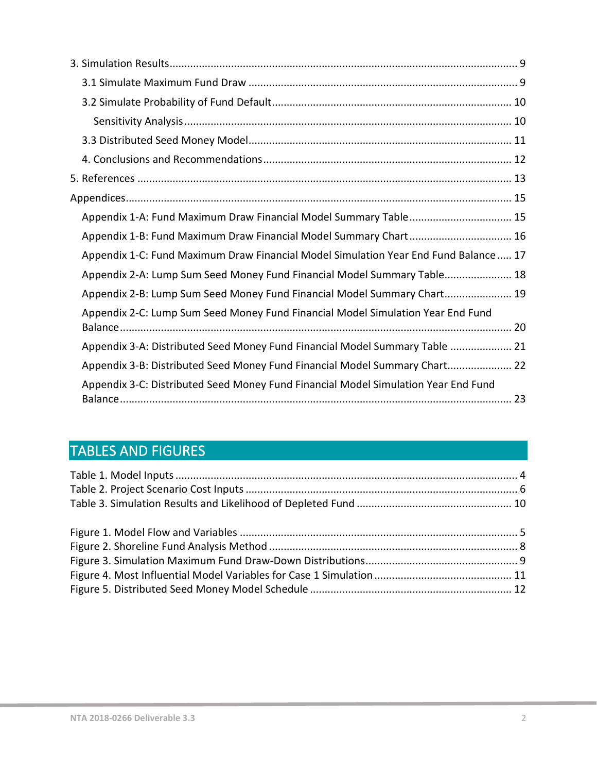| Appendix 1-A: Fund Maximum Draw Financial Model Summary Table 15                    |
|-------------------------------------------------------------------------------------|
| Appendix 1-B: Fund Maximum Draw Financial Model Summary Chart 16                    |
| Appendix 1-C: Fund Maximum Draw Financial Model Simulation Year End Fund Balance 17 |
| Appendix 2-A: Lump Sum Seed Money Fund Financial Model Summary Table 18             |
| Appendix 2-B: Lump Sum Seed Money Fund Financial Model Summary Chart 19             |
| Appendix 2-C: Lump Sum Seed Money Fund Financial Model Simulation Year End Fund     |
| Appendix 3-A: Distributed Seed Money Fund Financial Model Summary Table  21         |
| Appendix 3-B: Distributed Seed Money Fund Financial Model Summary Chart 22          |
| Appendix 3-C: Distributed Seed Money Fund Financial Model Simulation Year End Fund  |

# <span id="page-1-0"></span>TABLES AND FIGURES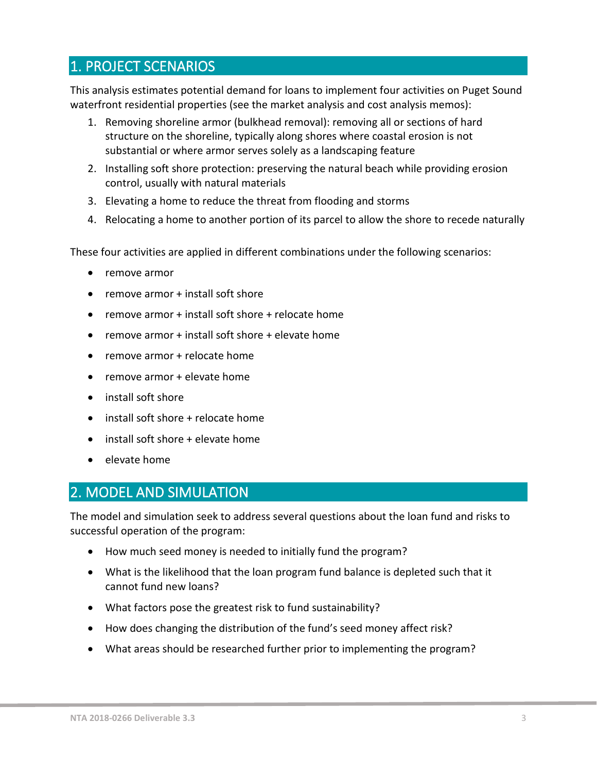# <span id="page-2-0"></span>1. PROJECT SCENARIOS

This analysis estimates potential demand for loans to implement four activities on Puget Sound waterfront residential properties (see the market analysis and cost analysis memos):

- 1. Removing shoreline armor (bulkhead removal): removing all or sections of hard structure on the shoreline, typically along shores where coastal erosion is not substantial or where armor serves solely as a landscaping feature
- 2. Installing soft shore protection: preserving the natural beach while providing erosion control, usually with natural materials
- 3. Elevating a home to reduce the threat from flooding and storms
- 4. Relocating a home to another portion of its parcel to allow the shore to recede naturally

These four activities are applied in different combinations under the following scenarios:

- remove armor
- remove armor + install soft shore
- remove armor + install soft shore + relocate home
- remove armor + install soft shore + elevate home
- remove armor + relocate home
- remove armor + elevate home
- install soft shore
- install soft shore + relocate home
- install soft shore + elevate home
- elevate home

# <span id="page-2-1"></span>2. MODEL AND SIMULATION

The model and simulation seek to address several questions about the loan fund and risks to successful operation of the program:

- How much seed money is needed to initially fund the program?
- What is the likelihood that the loan program fund balance is depleted such that it cannot fund new loans?
- What factors pose the greatest risk to fund sustainability?
- How does changing the distribution of the fund's seed money affect risk?
- What areas should be researched further prior to implementing the program?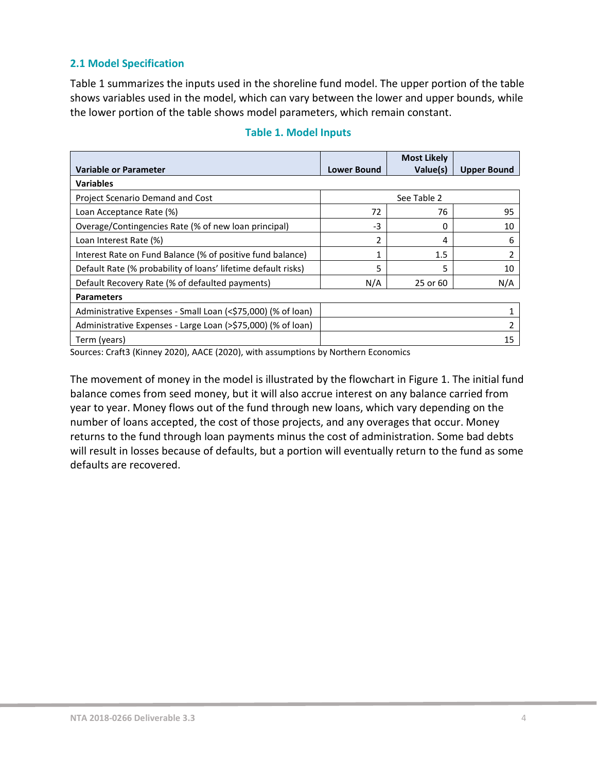## <span id="page-3-0"></span>**2.1 Model Specification**

[Table 1](#page-3-1) summarizes the inputs used in the shoreline fund model. The upper portion of the table shows variables used in the model, which can vary between the lower and upper bounds, while the lower portion of the table shows model parameters, which remain constant.

<span id="page-3-1"></span>

|                                                               |                    | <b>Most Likely</b> |                    |
|---------------------------------------------------------------|--------------------|--------------------|--------------------|
| Variable or Parameter                                         | <b>Lower Bound</b> | Value(s)           | <b>Upper Bound</b> |
| <b>Variables</b>                                              |                    |                    |                    |
| Project Scenario Demand and Cost                              |                    | See Table 2        |                    |
| Loan Acceptance Rate (%)                                      | 72                 | 76                 | 95                 |
| Overage/Contingencies Rate (% of new loan principal)          | $-3$               | 0                  | 10                 |
| Loan Interest Rate (%)                                        | 2                  | 4                  | 6                  |
| Interest Rate on Fund Balance (% of positive fund balance)    | 1                  | 1.5                | 2                  |
| Default Rate (% probability of loans' lifetime default risks) | 5                  | 5                  | 10                 |
| Default Recovery Rate (% of defaulted payments)               | N/A                | 25 or 60           | N/A                |
| <b>Parameters</b>                                             |                    |                    |                    |
| Administrative Expenses - Small Loan (<\$75,000) (% of loan)  |                    |                    |                    |
| Administrative Expenses - Large Loan (>\$75,000) (% of loan)  |                    |                    |                    |
| Term (years)                                                  |                    |                    | 15                 |

# **Table 1. Model Inputs**

Sources: Craft3 (Kinney 2020), AACE (2020), with assumptions by Northern Economics

The movement of money in the model is illustrated by the flowchart in [Figure 1.](#page-4-2) The initial fund balance comes from seed money, but it will also accrue interest on any balance carried from year to year. Money flows out of the fund through new loans, which vary depending on the number of loans accepted, the cost of those projects, and any overages that occur. Money returns to the fund through loan payments minus the cost of administration. Some bad debts will result in losses because of defaults, but a portion will eventually return to the fund as some defaults are recovered.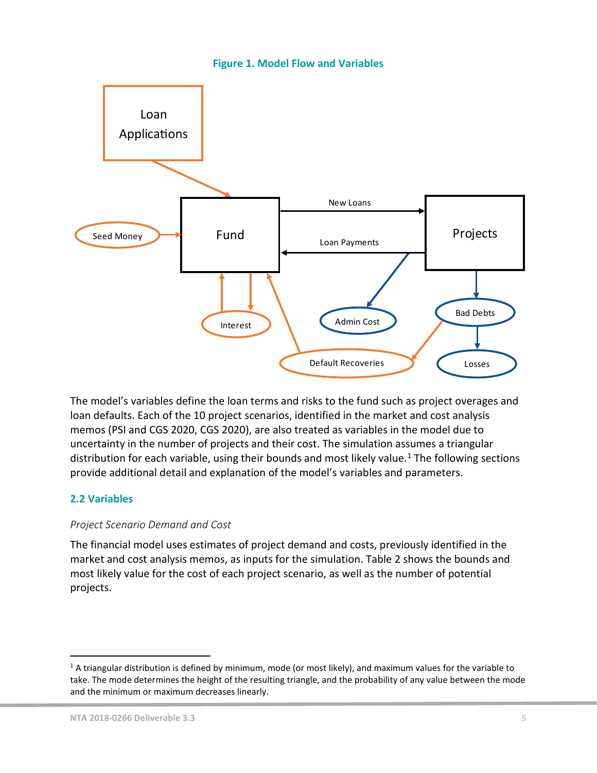#### **Figure 1. Model Flow and Variables**

<span id="page-4-2"></span>

The model's variables define the loan terms and risks to the fund such as project overages and loan defaults. Each of the 10 project scenarios, identified in the market and cost analysis memos (PSI and CGS 2020, CGS 2020), are also treated as variables in the model due to uncertainty in the number of projects and their cost. The simulation assumes a triangular distribution for each variable, using their bounds and most likely value. [1](#page-4-3) The following sections provide additional detail and explanation of the model's variables and parameters.

## <span id="page-4-0"></span>**2.2 Variables**

#### <span id="page-4-1"></span>*Project Scenario Demand and Cost*

The financial model uses estimates of project demand and costs, previously identified in the market and cost analysis memos, as inputs for the simulation. [Table 2](#page-5-2) shows the bounds and most likely value for the cost of each project scenario, as well as the number of potential projects.

<span id="page-4-3"></span> $1$  A triangular distribution is defined by minimum, mode (or most likely), and maximum values for the variable to take. The mode determines the height of the resulting triangle, and the probability of any value between the mode and the minimum or maximum decreases linearly.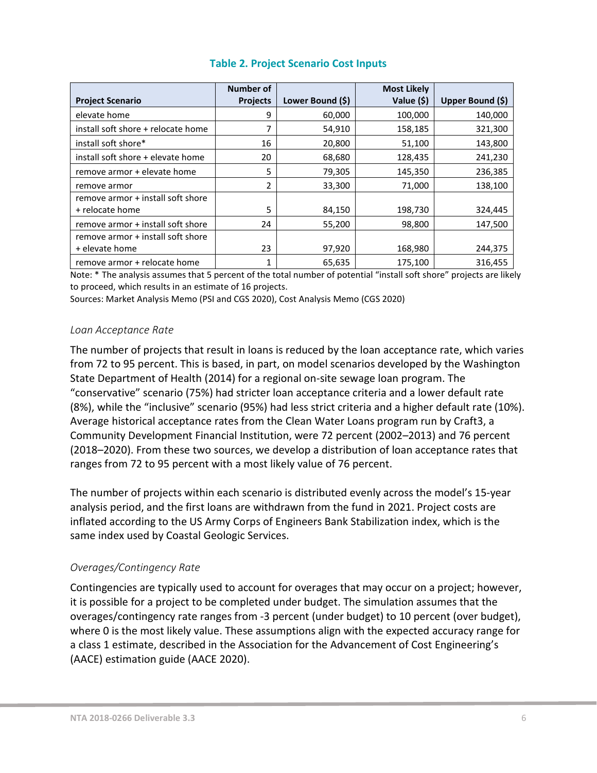<span id="page-5-2"></span>

|                                    | <b>Number of</b> |                  | <b>Most Likely</b> |                  |
|------------------------------------|------------------|------------------|--------------------|------------------|
| <b>Project Scenario</b>            | <b>Projects</b>  | Lower Bound (\$) | Value (\$)         | Upper Bound (\$) |
| elevate home                       | 9                | 60,000           | 100,000            | 140,000          |
| install soft shore + relocate home |                  | 54,910           | 158,185            | 321,300          |
| install soft shore*                | 16               | 20,800           | 51,100             | 143,800          |
| install soft shore + elevate home  | 20               | 68,680           | 128,435            | 241,230          |
| remove armor + elevate home        | 5                | 79,305           | 145,350            | 236,385          |
| remove armor                       | 2                | 33,300           | 71,000             | 138,100          |
| remove armor + install soft shore  |                  |                  |                    |                  |
| + relocate home                    | 5                | 84,150           | 198,730            | 324,445          |
| remove armor + install soft shore  | 24               | 55,200           | 98,800             | 147,500          |
| remove armor + install soft shore  |                  |                  |                    |                  |
| + elevate home                     | 23               | 97,920           | 168,980            | 244,375          |
| remove armor + relocate home       | 1                | 65,635           | 175,100            | 316,455          |

# **Table 2. Project Scenario Cost Inputs**

Note: \* The analysis assumes that 5 percent of the total number of potential "install soft shore" projects are likely to proceed, which results in an estimate of 16 projects.

Sources: Market Analysis Memo (PSI and CGS 2020), Cost Analysis Memo (CGS 2020)

#### <span id="page-5-0"></span>*Loan Acceptance Rate*

The number of projects that result in loans is reduced by the loan acceptance rate, which varies from 72 to 95 percent. This is based, in part, on model scenarios developed by the Washington State Department of Health (2014) for a regional on-site sewage loan program. The "conservative" scenario (75%) had stricter loan acceptance criteria and a lower default rate (8%), while the "inclusive" scenario (95%) had less strict criteria and a higher default rate (10%). Average historical acceptance rates from the Clean Water Loans program run by Craft3, a Community Development Financial Institution, were 72 percent (2002–2013) and 76 percent (2018–2020). From these two sources, we develop a distribution of loan acceptance rates that ranges from 72 to 95 percent with a most likely value of 76 percent.

The number of projects within each scenario is distributed evenly across the model's 15-year analysis period, and the first loans are withdrawn from the fund in 2021. Project costs are inflated according to the US Army Corps of Engineers Bank Stabilization index, which is the same index used by Coastal Geologic Services.

## <span id="page-5-1"></span>*Overages/Contingency Rate*

Contingencies are typically used to account for overages that may occur on a project; however, it is possible for a project to be completed under budget. The simulation assumes that the overages/contingency rate ranges from -3 percent (under budget) to 10 percent (over budget), where 0 is the most likely value. These assumptions align with the expected accuracy range for a class 1 estimate, described in the Association for the Advancement of Cost Engineering's (AACE) estimation guide (AACE 2020).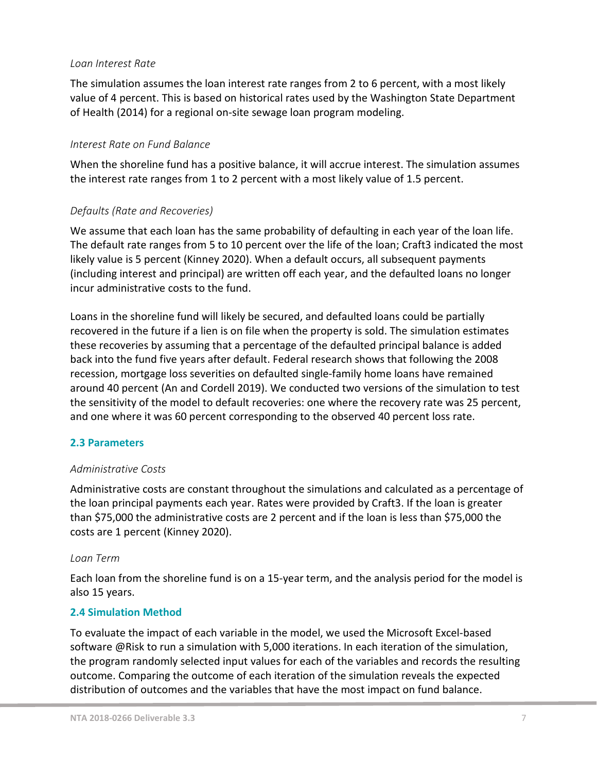#### <span id="page-6-0"></span>*Loan Interest Rate*

The simulation assumes the loan interest rate ranges from 2 to 6 percent, with a most likely value of 4 percent. This is based on historical rates used by the Washington State Department of Health (2014) for a regional on-site sewage loan program modeling.

#### <span id="page-6-1"></span>*Interest Rate on Fund Balance*

When the shoreline fund has a positive balance, it will accrue interest. The simulation assumes the interest rate ranges from 1 to 2 percent with a most likely value of 1.5 percent.

#### <span id="page-6-2"></span>*Defaults (Rate and Recoveries)*

We assume that each loan has the same probability of defaulting in each year of the loan life. The default rate ranges from 5 to 10 percent over the life of the loan; Craft3 indicated the most likely value is 5 percent (Kinney 2020). When a default occurs, all subsequent payments (including interest and principal) are written off each year, and the defaulted loans no longer incur administrative costs to the fund.

Loans in the shoreline fund will likely be secured, and defaulted loans could be partially recovered in the future if a lien is on file when the property is sold. The simulation estimates these recoveries by assuming that a percentage of the defaulted principal balance is added back into the fund five years after default. Federal research shows that following the 2008 recession, mortgage loss severities on defaulted single-family home loans have remained around 40 percent (An and Cordell 2019). We conducted two versions of the simulation to test the sensitivity of the model to default recoveries: one where the recovery rate was 25 percent, and one where it was 60 percent corresponding to the observed 40 percent loss rate.

#### <span id="page-6-3"></span>**2.3 Parameters**

#### <span id="page-6-4"></span>*Administrative Costs*

Administrative costs are constant throughout the simulations and calculated as a percentage of the loan principal payments each year. Rates were provided by Craft3. If the loan is greater than \$75,000 the administrative costs are 2 percent and if the loan is less than \$75,000 the costs are 1 percent (Kinney 2020).

#### <span id="page-6-5"></span>*Loan Term*

Each loan from the shoreline fund is on a 15-year term, and the analysis period for the model is also 15 years.

#### <span id="page-6-6"></span>**2.4 Simulation Method**

To evaluate the impact of each variable in the model, we used the Microsoft Excel-based software @Risk to run a simulation with 5,000 iterations. In each iteration of the simulation, the program randomly selected input values for each of the variables and records the resulting outcome. Comparing the outcome of each iteration of the simulation reveals the expected distribution of outcomes and the variables that have the most impact on fund balance.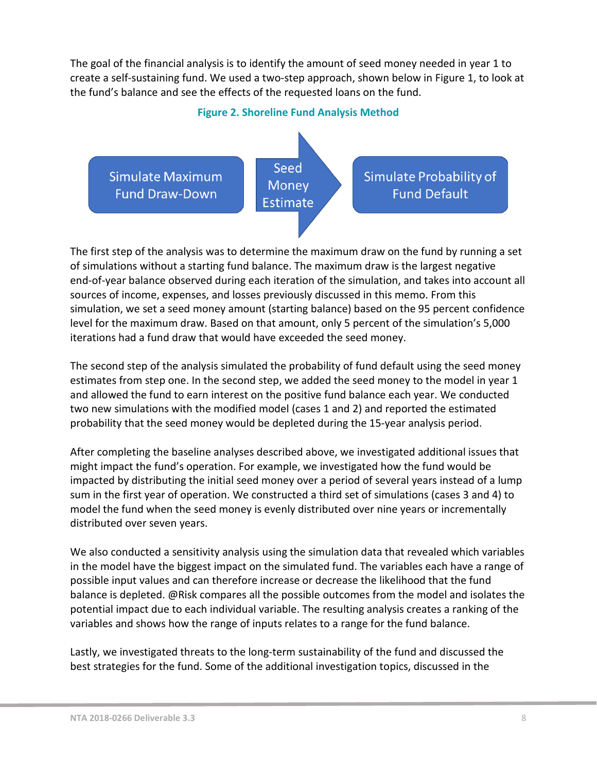The goal of the financial analysis is to identify the amount of seed money needed in year 1 to create a self-sustaining fund. We used a two-step approach, shown below in [Figure 1,](#page-7-0) to look at the fund's balance and see the effects of the requested loans on the fund.

#### **Figure 2. Shoreline Fund Analysis Method**

<span id="page-7-0"></span>

The first step of the analysis was to determine the maximum draw on the fund by running a set of simulations without a starting fund balance. The maximum draw is the largest negative end-of-year balance observed during each iteration of the simulation, and takes into account all sources of income, expenses, and losses previously discussed in this memo. From this simulation, we set a seed money amount (starting balance) based on the 95 percent confidence level for the maximum draw. Based on that amount, only 5 percent of the simulation's 5,000 iterations had a fund draw that would have exceeded the seed money.

The second step of the analysis simulated the probability of fund default using the seed money estimates from step one. In the second step, we added the seed money to the model in year 1 and allowed the fund to earn interest on the positive fund balance each year. We conducted two new simulations with the modified model (cases 1 and 2) and reported the estimated probability that the seed money would be depleted during the 15-year analysis period.

After completing the baseline analyses described above, we investigated additional issues that might impact the fund's operation. For example, we investigated how the fund would be impacted by distributing the initial seed money over a period of several years instead of a lump sum in the first year of operation. We constructed a third set of simulations (cases 3 and 4) to model the fund when the seed money is evenly distributed over nine years or incrementally distributed over seven years.

We also conducted a sensitivity analysis using the simulation data that revealed which variables in the model have the biggest impact on the simulated fund. The variables each have a range of possible input values and can therefore increase or decrease the likelihood that the fund balance is depleted. @Risk compares all the possible outcomes from the model and isolates the potential impact due to each individual variable. The resulting analysis creates a ranking of the variables and shows how the range of inputs relates to a range for the fund balance.

Lastly, we investigated threats to the long-term sustainability of the fund and discussed the best strategies for the fund. Some of the additional investigation topics, discussed in the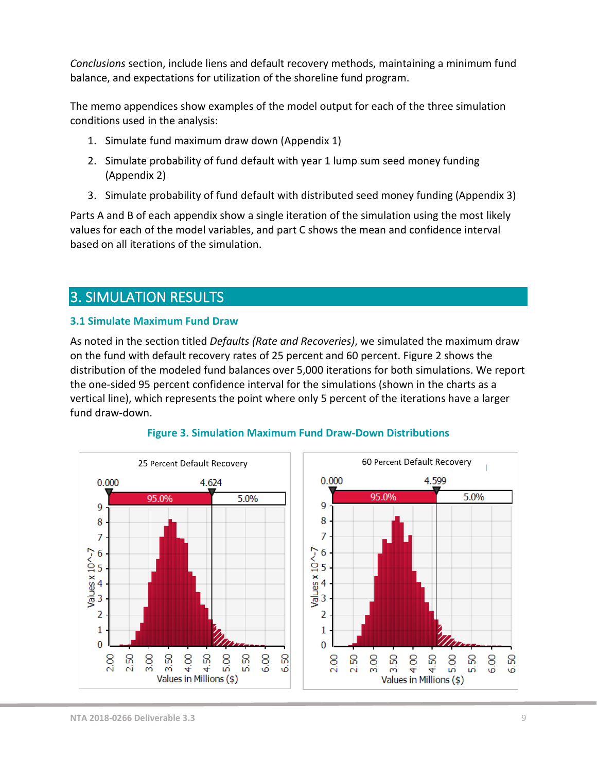*Conclusions* section, include liens and default recovery methods, maintaining a minimum fund balance, and expectations for utilization of the shoreline fund program.

The memo appendices show examples of the model output for each of the three simulation conditions used in the analysis:

- 1. Simulate fund maximum draw down (Appendix 1)
- 2. Simulate probability of fund default with year 1 lump sum seed money funding (Appendix 2)
- 3. Simulate probability of fund default with distributed seed money funding (Appendix 3)

Parts A and B of each appendix show a single iteration of the simulation using the most likely values for each of the model variables, and part C shows the mean and confidence interval based on all iterations of the simulation.

# <span id="page-8-0"></span>3. SIMULATION RESULTS

## <span id="page-8-1"></span>**3.1 Simulate Maximum Fund Draw**

As noted in the section titled *[Defaults \(Rate and Recoveries\)](#page-6-2)*, we simulated the maximum draw on the fund with default recovery rates of 25 percent and 60 percent[. Figure 2](#page-8-2) shows the distribution of the modeled fund balances over 5,000 iterations for both simulations. We report the one-sided 95 percent confidence interval for the simulations (shown in the charts as a vertical line), which represents the point where only 5 percent of the iterations have a larger fund draw-down.

<span id="page-8-2"></span>

## **Figure 3. Simulation Maximum Fund Draw-Down Distributions**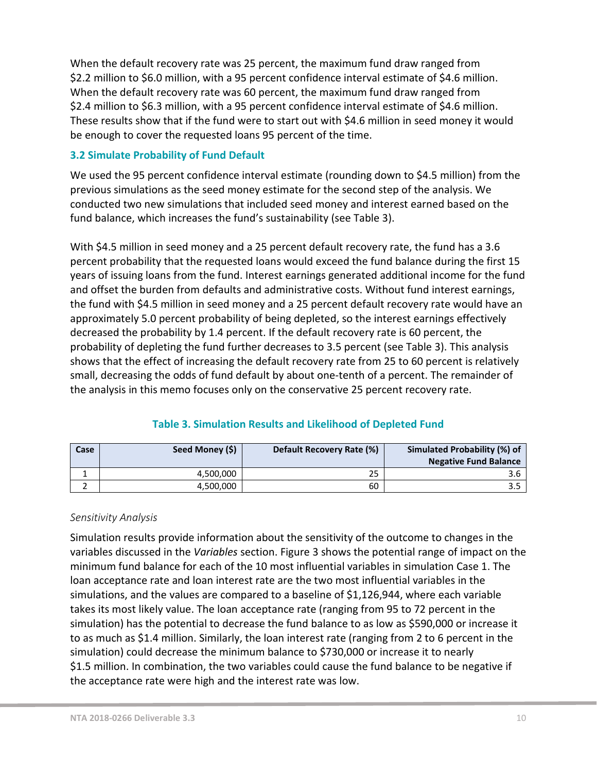When the default recovery rate was 25 percent, the maximum fund draw ranged from \$2.2 million to \$6.0 million, with a 95 percent confidence interval estimate of \$4.6 million. When the default recovery rate was 60 percent, the maximum fund draw ranged from \$2.4 million to \$6.3 million, with a 95 percent confidence interval estimate of \$4.6 million. These results show that if the fund were to start out with \$4.6 million in seed money it would be enough to cover the requested loans 95 percent of the time.

## <span id="page-9-0"></span>**3.2 Simulate Probability of Fund Default**

We used the 95 percent confidence interval estimate (rounding down to \$4.5 million) from the previous simulations as the seed money estimate for the second step of the analysis. We conducted two new simulations that included seed money and interest earned based on the fund balance, which increases the fund's sustainability (se[e Table 3\)](#page-9-2).

With \$4.5 million in seed money and a 25 percent default recovery rate, the fund has a 3.6 percent probability that the requested loans would exceed the fund balance during the first 15 years of issuing loans from the fund. Interest earnings generated additional income for the fund and offset the burden from defaults and administrative costs. Without fund interest earnings, the fund with \$4.5 million in seed money and a 25 percent default recovery rate would have an approximately 5.0 percent probability of being depleted, so the interest earnings effectively decreased the probability by 1.4 percent. If the default recovery rate is 60 percent, the probability of depleting the fund further decreases to 3.5 percent (see [Table 3\)](#page-9-2). This analysis shows that the effect of increasing the default recovery rate from 25 to 60 percent is relatively small, decreasing the odds of fund default by about one-tenth of a percent. The remainder of the analysis in this memo focuses only on the conservative 25 percent recovery rate.

<span id="page-9-2"></span>

| Case | Seed Money (\$) | Default Recovery Rate (%) | Simulated Probability (%) of<br><b>Negative Fund Balance</b> |
|------|-----------------|---------------------------|--------------------------------------------------------------|
|      | 4.500.000       | 25                        |                                                              |
|      | 4,500,000       | 60                        |                                                              |

# **Table 3. Simulation Results and Likelihood of Depleted Fund**

## <span id="page-9-1"></span>*Sensitivity Analysis*

Simulation results provide information about the sensitivity of the outcome to changes in the variables discussed in the *Variables* section. Figure [3](#page-10-1) shows the potential range of impact on the minimum fund balance for each of the 10 most influential variables in simulation Case 1. The loan acceptance rate and loan interest rate are the two most influential variables in the simulations, and the values are compared to a baseline of \$1,126,944, where each variable takes its most likely value. The loan acceptance rate (ranging from 95 to 72 percent in the simulation) has the potential to decrease the fund balance to as low as \$590,000 or increase it to as much as \$1.4 million. Similarly, the loan interest rate (ranging from 2 to 6 percent in the simulation) could decrease the minimum balance to \$730,000 or increase it to nearly \$1.5 million. In combination, the two variables could cause the fund balance to be negative if the acceptance rate were high and the interest rate was low.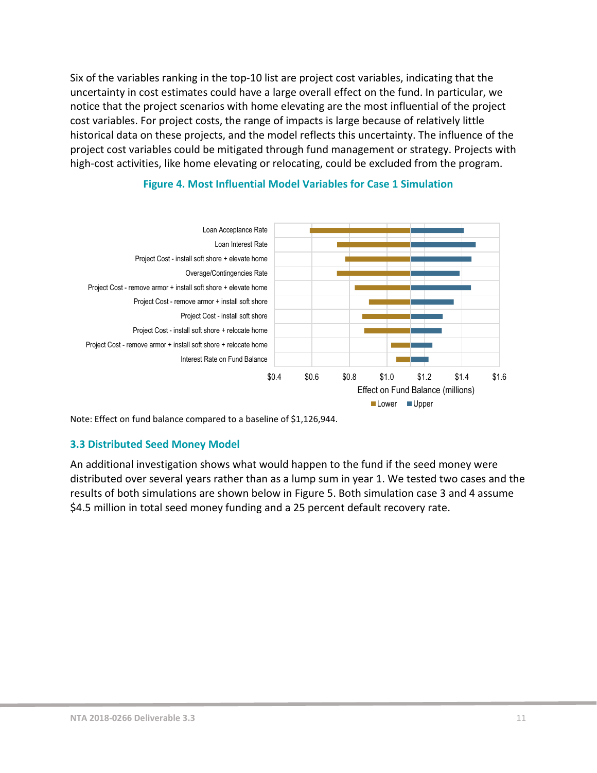Six of the variables ranking in the top-10 list are project cost variables, indicating that the uncertainty in cost estimates could have a large overall effect on the fund. In particular, we notice that the project scenarios with home elevating are the most influential of the project cost variables. For project costs, the range of impacts is large because of relatively little historical data on these projects, and the model reflects this uncertainty. The influence of the project cost variables could be mitigated through fund management or strategy. Projects with high-cost activities, like home elevating or relocating, could be excluded from the program.

<span id="page-10-1"></span>

#### **Figure 4. Most Influential Model Variables for Case 1 Simulation**

Note: Effect on fund balance compared to a baseline of \$1,126,944.

## <span id="page-10-0"></span>**3.3 Distributed Seed Money Model**

An additional investigation shows what would happen to the fund if the seed money were distributed over several years rather than as a lump sum in year 1. We tested two cases and the results of both simulations are shown below in [Figure 5.](#page-11-1) Both simulation case 3 and 4 assume \$4.5 million in total seed money funding and a 25 percent default recovery rate.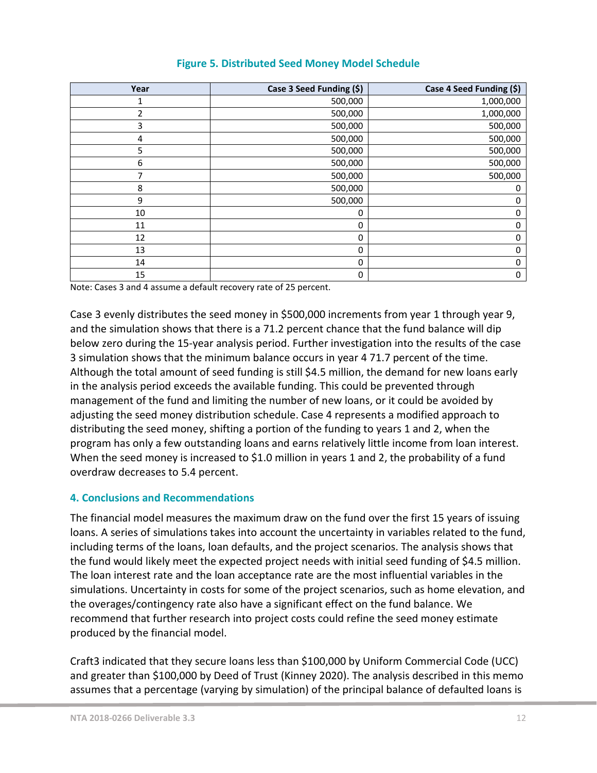<span id="page-11-1"></span>

| Year           | Case 3 Seed Funding (\$) | Case 4 Seed Funding (\$) |
|----------------|--------------------------|--------------------------|
|                | 500,000                  | 1,000,000                |
| $\overline{2}$ | 500,000                  | 1,000,000                |
| 3              | 500,000                  | 500,000                  |
| 4              | 500,000                  | 500,000                  |
| 5              | 500,000                  | 500,000                  |
| 6              | 500,000                  | 500,000                  |
|                | 500,000                  | 500,000                  |
| 8              | 500,000                  | 0                        |
| 9              | 500,000                  | 0                        |
| 10             | 0                        | 0                        |
| 11             | 0                        | 0                        |
| 12             | 0                        | 0                        |
| 13             | 0                        | 0                        |
| 14             | 0                        | 0                        |
| 15             | 0                        | 0                        |

Note: Cases 3 and 4 assume a default recovery rate of 25 percent.

Case 3 evenly distributes the seed money in \$500,000 increments from year 1 through year 9, and the simulation shows that there is a 71.2 percent chance that the fund balance will dip below zero during the 15-year analysis period. Further investigation into the results of the case 3 simulation shows that the minimum balance occurs in year 4 71.7 percent of the time. Although the total amount of seed funding is still \$4.5 million, the demand for new loans early in the analysis period exceeds the available funding. This could be prevented through management of the fund and limiting the number of new loans, or it could be avoided by adjusting the seed money distribution schedule. Case 4 represents a modified approach to distributing the seed money, shifting a portion of the funding to years 1 and 2, when the program has only a few outstanding loans and earns relatively little income from loan interest. When the seed money is increased to \$1.0 million in years 1 and 2, the probability of a fund overdraw decreases to 5.4 percent.

#### <span id="page-11-0"></span>**4. Conclusions and Recommendations**

The financial model measures the maximum draw on the fund over the first 15 years of issuing loans. A series of simulations takes into account the uncertainty in variables related to the fund, including terms of the loans, loan defaults, and the project scenarios. The analysis shows that the fund would likely meet the expected project needs with initial seed funding of \$4.5 million. The loan interest rate and the loan acceptance rate are the most influential variables in the simulations. Uncertainty in costs for some of the project scenarios, such as home elevation, and the overages/contingency rate also have a significant effect on the fund balance. We recommend that further research into project costs could refine the seed money estimate produced by the financial model.

Craft3 indicated that they secure loans less than \$100,000 by Uniform Commercial Code (UCC) and greater than \$100,000 by Deed of Trust (Kinney 2020). The analysis described in this memo assumes that a percentage (varying by simulation) of the principal balance of defaulted loans is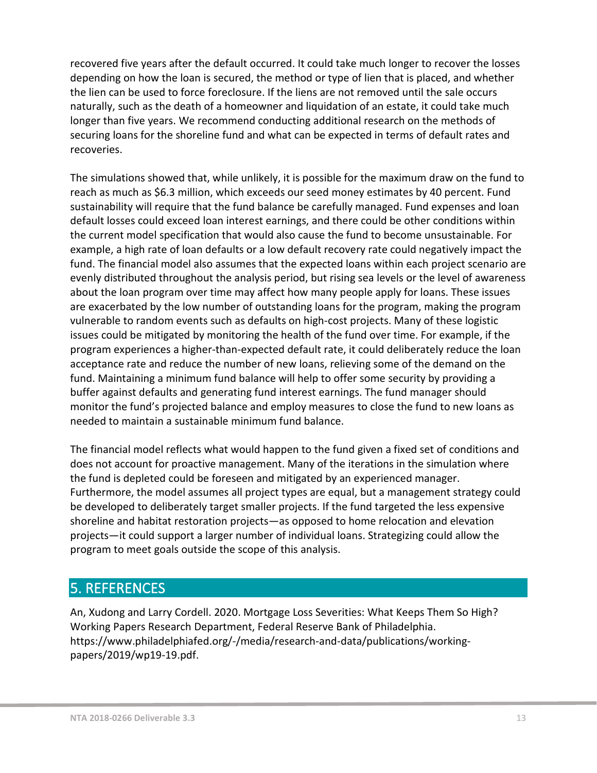recovered five years after the default occurred. It could take much longer to recover the losses depending on how the loan is secured, the method or type of lien that is placed, and whether the lien can be used to force foreclosure. If the liens are not removed until the sale occurs naturally, such as the death of a homeowner and liquidation of an estate, it could take much longer than five years. We recommend conducting additional research on the methods of securing loans for the shoreline fund and what can be expected in terms of default rates and recoveries.

The simulations showed that, while unlikely, it is possible for the maximum draw on the fund to reach as much as \$6.3 million, which exceeds our seed money estimates by 40 percent. Fund sustainability will require that the fund balance be carefully managed. Fund expenses and loan default losses could exceed loan interest earnings, and there could be other conditions within the current model specification that would also cause the fund to become unsustainable. For example, a high rate of loan defaults or a low default recovery rate could negatively impact the fund. The financial model also assumes that the expected loans within each project scenario are evenly distributed throughout the analysis period, but rising sea levels or the level of awareness about the loan program over time may affect how many people apply for loans. These issues are exacerbated by the low number of outstanding loans for the program, making the program vulnerable to random events such as defaults on high-cost projects. Many of these logistic issues could be mitigated by monitoring the health of the fund over time. For example, if the program experiences a higher-than-expected default rate, it could deliberately reduce the loan acceptance rate and reduce the number of new loans, relieving some of the demand on the fund. Maintaining a minimum fund balance will help to offer some security by providing a buffer against defaults and generating fund interest earnings. The fund manager should monitor the fund's projected balance and employ measures to close the fund to new loans as needed to maintain a sustainable minimum fund balance.

The financial model reflects what would happen to the fund given a fixed set of conditions and does not account for proactive management. Many of the iterations in the simulation where the fund is depleted could be foreseen and mitigated by an experienced manager. Furthermore, the model assumes all project types are equal, but a management strategy could be developed to deliberately target smaller projects. If the fund targeted the less expensive shoreline and habitat restoration projects—as opposed to home relocation and elevation projects—it could support a larger number of individual loans. Strategizing could allow the program to meet goals outside the scope of this analysis.

# <span id="page-12-0"></span>5. REFERENCES

An, Xudong and Larry Cordell. 2020. Mortgage Loss Severities: What Keeps Them So High? Working Papers Research Department, Federal Reserve Bank of Philadelphia. https://www.philadelphiafed.org/-/media/research-and-data/publications/workingpapers/2019/wp19-19.pdf.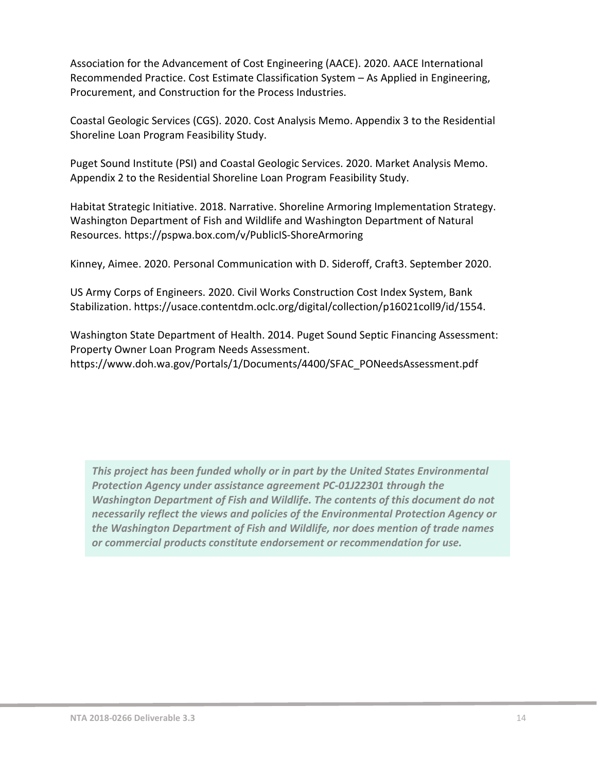Association for the Advancement of Cost Engineering (AACE). 2020. AACE International Recommended Practice. Cost Estimate Classification System – As Applied in Engineering, Procurement, and Construction for the Process Industries.

Coastal Geologic Services (CGS). 2020. Cost Analysis Memo. Appendix 3 to the Residential Shoreline Loan Program Feasibility Study.

Puget Sound Institute (PSI) and Coastal Geologic Services. 2020. Market Analysis Memo. Appendix 2 to the Residential Shoreline Loan Program Feasibility Study.

Habitat Strategic Initiative. 2018. Narrative. Shoreline Armoring Implementation Strategy. Washington Department of Fish and Wildlife and Washington Department of Natural Resources. https://pspwa.box.com/v/PublicIS-ShoreArmoring

Kinney, Aimee. 2020. Personal Communication with D. Sideroff, Craft3. September 2020.

US Army Corps of Engineers. 2020. Civil Works Construction Cost Index System, Bank Stabilization. https://usace.contentdm.oclc.org/digital/collection/p16021coll9/id/1554.

Washington State Department of Health. 2014. Puget Sound Septic Financing Assessment: Property Owner Loan Program Needs Assessment. https://www.doh.wa.gov/Portals/1/Documents/4400/SFAC\_PONeedsAssessment.pdf

*This project has been funded wholly or in part by the United States Environmental Protection Agency under assistance agreement PC-01J22301 through the Washington Department of Fish and Wildlife. The contents of this document do not necessarily reflect the views and policies of the Environmental Protection Agency or the Washington Department of Fish and Wildlife, nor does mention of trade names or commercial products constitute endorsement or recommendation for use.*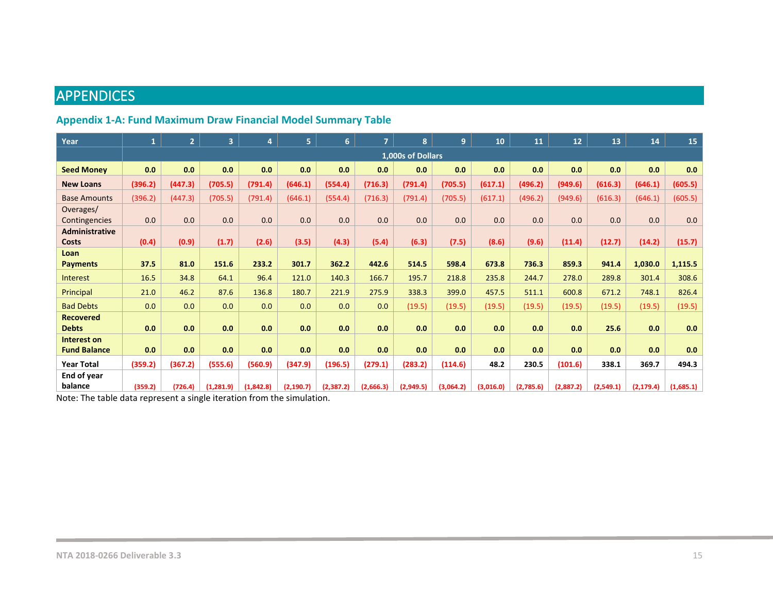# **APPENDICES**

# **Appendix 1-A: Fund Maximum Draw Financial Model Summary Table**

<span id="page-14-0"></span>

| Year                                  | $\mathbf{1}$ | $\overline{2}$ | 3 <sup>1</sup> | 4         | 5.         | 6 <sup>1</sup> | $\overline{7}$ | 8                 | 9         | 10        | 11        | 12        | 13        | 14         | 15        |
|---------------------------------------|--------------|----------------|----------------|-----------|------------|----------------|----------------|-------------------|-----------|-----------|-----------|-----------|-----------|------------|-----------|
|                                       |              |                |                |           |            |                |                | 1,000s of Dollars |           |           |           |           |           |            |           |
| <b>Seed Money</b>                     | 0.0          | 0.0            | 0.0            | 0.0       | 0.0        | 0.0            | 0.0            | 0.0               | 0.0       | 0.0       | 0.0       | 0.0       | 0.0       | 0.0        | 0.0       |
| <b>New Loans</b>                      | (396.2)      | (447.3)        | (705.5)        | (791.4)   | (646.1)    | (554.4)        | (716.3)        | (791.4)           | (705.5)   | (617.1)   | (496.2)   | (949.6)   | (616.3)   | (646.1)    | (605.5)   |
| <b>Base Amounts</b>                   | (396.2)      | (447.3)        | (705.5)        | (791.4)   | (646.1)    | (554.4)        | (716.3)        | (791.4)           | (705.5)   | (617.1)   | (496.2)   | (949.6)   | (616.3)   | (646.1)    | (605.5)   |
| Overages/<br>Contingencies            | 0.0          | 0.0            | 0.0            | 0.0       | 0.0        | 0.0            | 0.0            | 0.0               | 0.0       | 0.0       | 0.0       | 0.0       | 0.0       | 0.0        | 0.0       |
| <b>Administrative</b><br><b>Costs</b> | (0.4)        | (0.9)          | (1.7)          | (2.6)     | (3.5)      | (4.3)          | (5.4)          | (6.3)             | (7.5)     | (8.6)     | (9.6)     | (11.4)    | (12.7)    | (14.2)     | (15.7)    |
| Loan                                  |              |                |                |           |            |                |                |                   |           |           |           |           |           |            |           |
| <b>Payments</b>                       | 37.5         | 81.0           | 151.6          | 233.2     | 301.7      | 362.2          | 442.6          | 514.5             | 598.4     | 673.8     | 736.3     | 859.3     | 941.4     | 1,030.0    | 1,115.5   |
| <b>Interest</b>                       | 16.5         | 34.8           | 64.1           | 96.4      | 121.0      | 140.3          | 166.7          | 195.7             | 218.8     | 235.8     | 244.7     | 278.0     | 289.8     | 301.4      | 308.6     |
| Principal                             | 21.0         | 46.2           | 87.6           | 136.8     | 180.7      | 221.9          | 275.9          | 338.3             | 399.0     | 457.5     | 511.1     | 600.8     | 671.2     | 748.1      | 826.4     |
| <b>Bad Debts</b>                      | 0.0          | 0.0            | 0.0            | 0.0       | 0.0        | 0.0            | 0.0            | (19.5)            | (19.5)    | (19.5)    | (19.5)    | (19.5)    | (19.5)    | (19.5)     | (19.5)    |
| <b>Recovered</b>                      |              |                |                |           |            |                |                |                   |           |           |           |           |           |            |           |
| <b>Debts</b>                          | 0.0          | 0.0            | 0.0            | 0.0       | 0.0        | 0.0            | 0.0            | 0.0               | 0.0       | 0.0       | 0.0       | 0.0       | 25.6      | 0.0        | 0.0       |
| <b>Interest on</b>                    |              |                |                |           |            |                |                |                   |           |           |           |           |           |            |           |
| <b>Fund Balance</b>                   | 0.0          | 0.0            | 0.0            | 0.0       | 0.0        | 0.0            | 0.0            | 0.0               | 0.0       | 0.0       | 0.0       | 0.0       | 0.0       | 0.0        | 0.0       |
| <b>Year Total</b>                     | (359.2)      | (367.2)        | (555.6)        | (560.9)   | (347.9)    | (196.5)        | (279.1)        | (283.2)           | (114.6)   | 48.2      | 230.5     | (101.6)   | 338.1     | 369.7      | 494.3     |
| End of year                           |              |                |                |           |            |                |                |                   |           |           |           |           |           |            |           |
| balance<br>.                          | (359.2)      | (726.4)        | (1, 281.9)     | (1,842.8) | (2, 190.7) | (2, 387.2)     | (2,666.3)      | (2,949.5)         | (3,064.2) | (3,016.0) | (2,785.6) | (2,887.2) | (2,549.1) | (2, 179.4) | (1,685.1) |

<span id="page-14-1"></span>Note: The table data represent a single iteration from the simulation.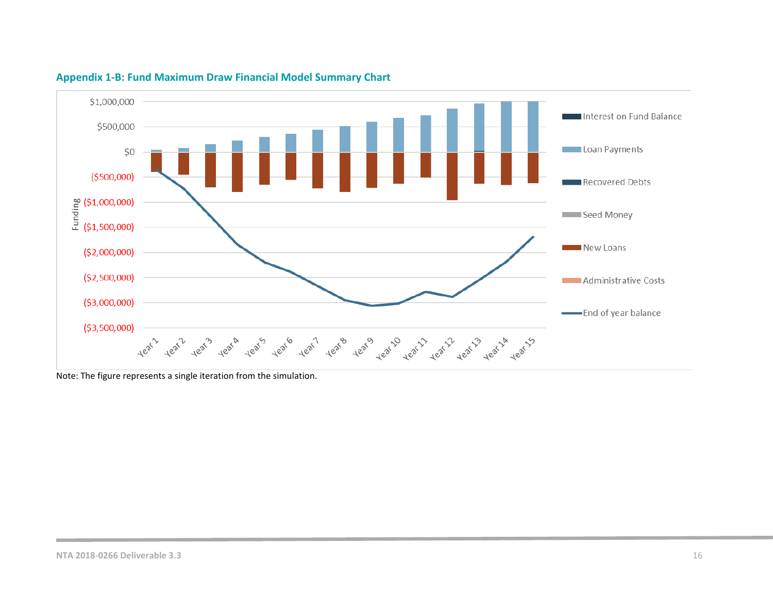

#### **Appendix 1-B: Fund Maximum Draw Financial Model Summary Chart**

<span id="page-15-0"></span>Note: The figure represents a single iteration from the simulation.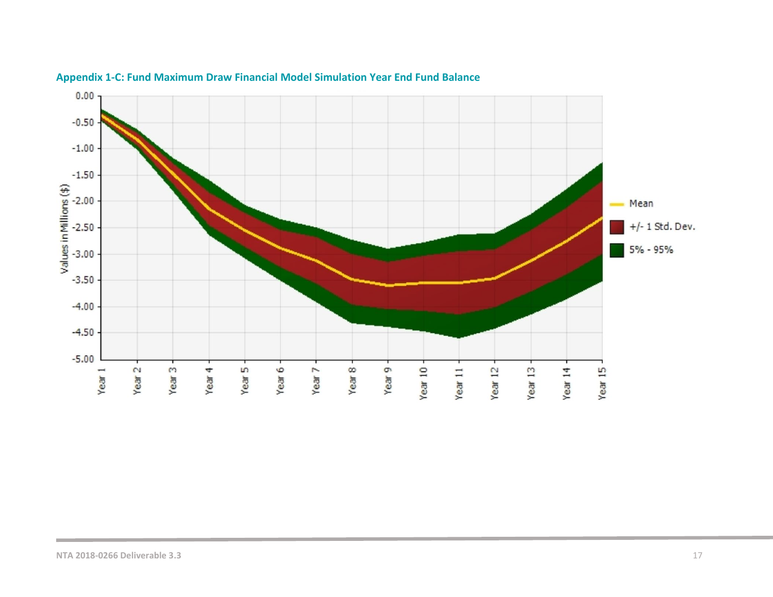<span id="page-16-0"></span>

#### **Appendix 1-C: Fund Maximum Draw Financial Model Simulation Year End Fund Balance**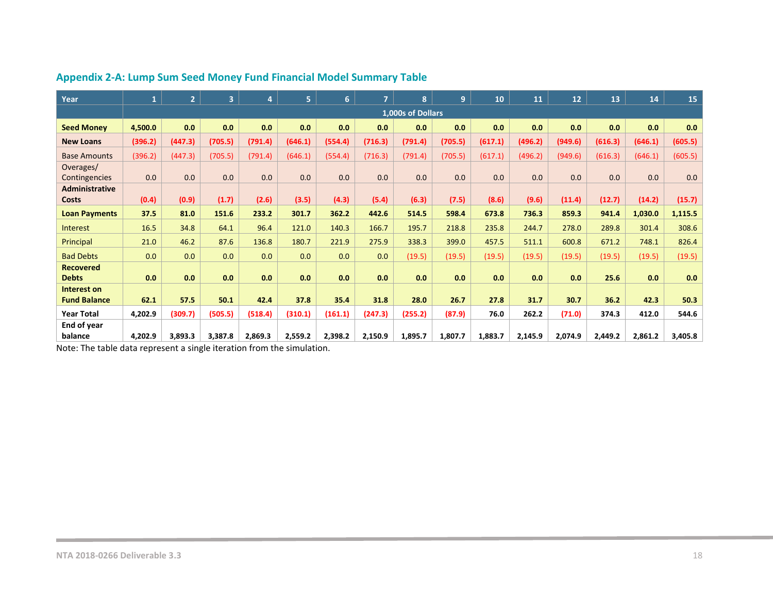| Year                           | $\mathbf{1}$ | 2 <sup>1</sup> | $\overline{\mathbf{3}}$ | 4       | 5.      | 6       | $\overline{7}$ | 8                 | 9       | 10      | 11      | 12 <sup>2</sup> | 13      | 14      | 15      |
|--------------------------------|--------------|----------------|-------------------------|---------|---------|---------|----------------|-------------------|---------|---------|---------|-----------------|---------|---------|---------|
|                                |              |                |                         |         |         |         |                | 1,000s of Dollars |         |         |         |                 |         |         |         |
| <b>Seed Money</b>              | 4,500.0      | 0.0            | 0.0                     | 0.0     | 0.0     | 0.0     | 0.0            | 0.0               | 0.0     | 0.0     | 0.0     | 0.0             | 0.0     | 0.0     | 0.0     |
| <b>New Loans</b>               | (396.2)      | (447.3)        | (705.5)                 | (791.4) | (646.1) | (554.4) | (716.3)        | (791.4)           | (705.5) | (617.1) | (496.2) | (949.6)         | (616.3) | (646.1) | (605.5) |
| <b>Base Amounts</b>            | (396.2)      | (447.3)        | (705.5)                 | (791.4) | (646.1) | (554.4) | (716.3)        | (791.4)           | (705.5) | (617.1) | (496.2) | (949.6)         | (616.3) | (646.1) | (605.5) |
| Overages/<br>Contingencies     | 0.0          | 0.0            | 0.0                     | 0.0     | 0.0     | 0.0     | 0.0            | 0.0               | 0.0     | 0.0     | 0.0     | 0.0             | 0.0     | 0.0     | 0.0     |
| <b>Administrative</b><br>Costs | (0.4)        | (0.9)          | (1.7)                   | (2.6)   | (3.5)   | (4.3)   | (5.4)          | (6.3)             | (7.5)   | (8.6)   | (9.6)   | (11.4)          | (12.7)  | (14.2)  | (15.7)  |
| <b>Loan Payments</b>           | 37.5         | 81.0           | 151.6                   | 233.2   | 301.7   | 362.2   | 442.6          | 514.5             | 598.4   | 673.8   | 736.3   | 859.3           | 941.4   | 1,030.0 | 1,115.5 |
| Interest                       | 16.5         | 34.8           | 64.1                    | 96.4    | 121.0   | 140.3   | 166.7          | 195.7             | 218.8   | 235.8   | 244.7   | 278.0           | 289.8   | 301.4   | 308.6   |
| Principal                      | 21.0         | 46.2           | 87.6                    | 136.8   | 180.7   | 221.9   | 275.9          | 338.3             | 399.0   | 457.5   | 511.1   | 600.8           | 671.2   | 748.1   | 826.4   |
| <b>Bad Debts</b>               | 0.0          | 0.0            | 0.0                     | 0.0     | 0.0     | 0.0     | 0.0            | (19.5)            | (19.5)  | (19.5)  | (19.5)  | (19.5)          | (19.5)  | (19.5)  | (19.5)  |
| <b>Recovered</b>               |              |                |                         |         |         |         |                |                   |         |         |         |                 |         |         |         |
| <b>Debts</b>                   | 0.0          | 0.0            | 0.0                     | 0.0     | 0.0     | 0.0     | 0.0            | 0.0               | 0.0     | 0.0     | 0.0     | 0.0             | 25.6    | 0.0     | 0.0     |
| Interest on                    |              |                |                         |         |         |         |                |                   |         |         |         |                 |         |         |         |
| <b>Fund Balance</b>            | 62.1         | 57.5           | 50.1                    | 42.4    | 37.8    | 35.4    | 31.8           | 28.0              | 26.7    | 27.8    | 31.7    | 30.7            | 36.2    | 42.3    | 50.3    |
| <b>Year Total</b>              | 4,202.9      | (309.7)        | (505.5)                 | (518.4) | (310.1) | (161.1) | (247.3)        | (255.2)           | (87.9)  | 76.0    | 262.2   | (71.0)          | 374.3   | 412.0   | 544.6   |
| End of year                    |              |                |                         |         |         |         |                |                   |         |         |         |                 |         |         |         |
| balance                        | 4,202.9      | 3,893.3        | 3,387.8                 | 2,869.3 | 2,559.2 | 2,398.2 | 2,150.9        | 1,895.7           | 1,807.7 | 1,883.7 | 2,145.9 | 2,074.9         | 2,449.2 | 2,861.2 | 3,405.8 |

# **Appendix 2-A: Lump Sum Seed Money Fund Financial Model Summary Table**

<span id="page-17-0"></span>Note: The table data represent a single iteration from the simulation.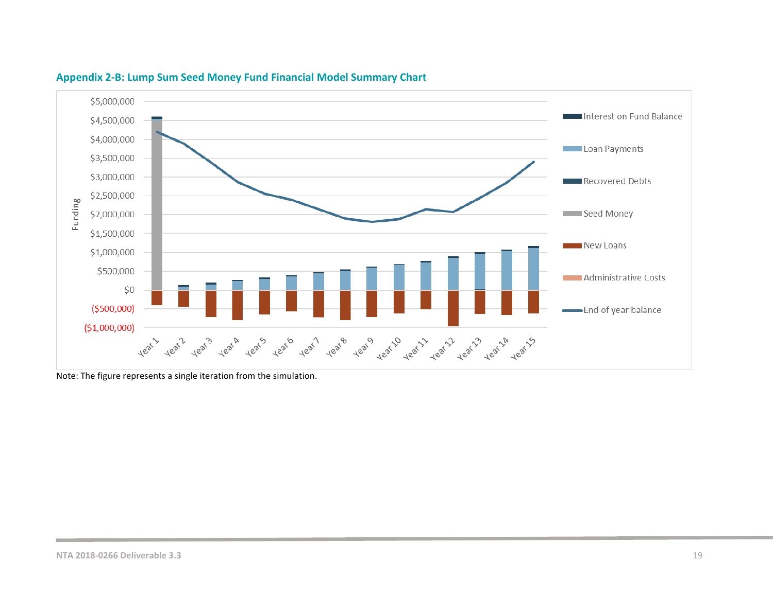

#### **Appendix 2-B: Lump Sum Seed Money Fund Financial Model Summary Chart**

<span id="page-18-0"></span>Note: The figure represents a single iteration from the simulation.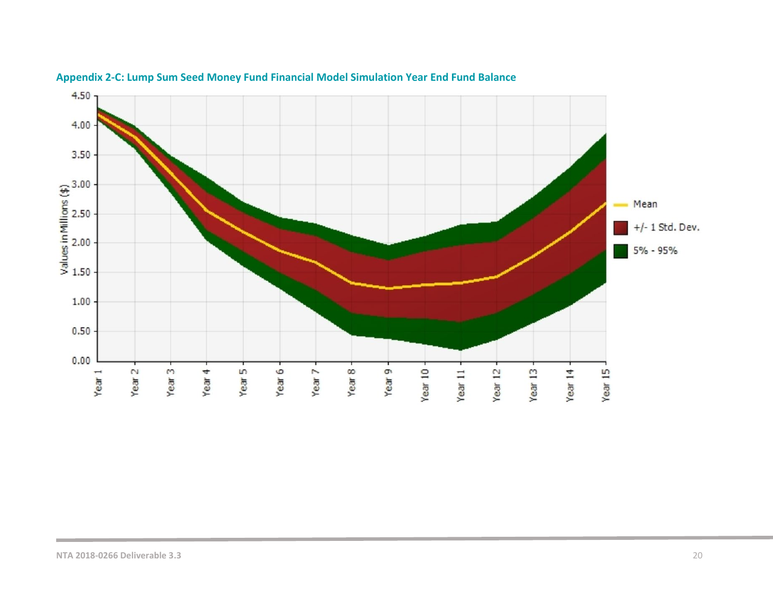<span id="page-19-0"></span>

## **Appendix 2-C: Lump Sum Seed Money Fund Financial Model Simulation Year End Fund Balance**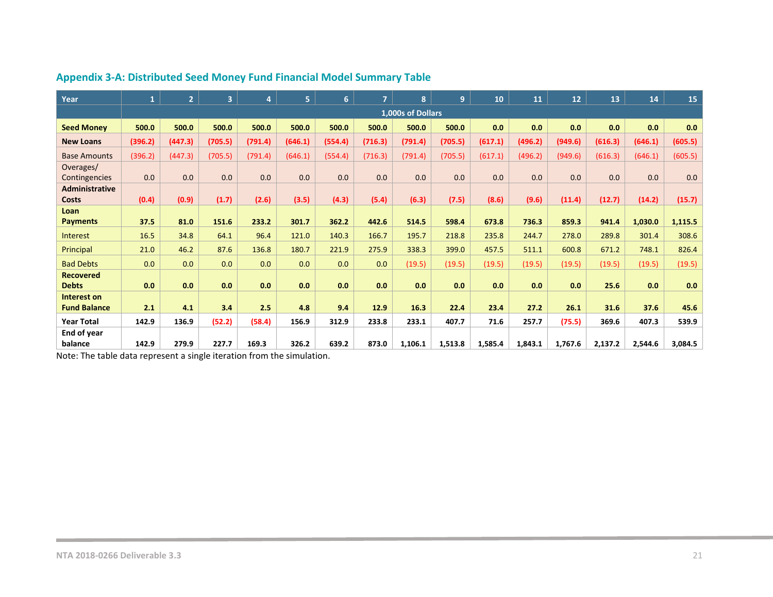| Year                  | $\mathbf{1}$ | $\overline{2}$ | 3 <sup>1</sup> | 4       | 5.      | 6       | $\overline{7}$ | 8                 | $\overline{9}$ | 10      | 11      | 12      | 13      | 14      | 15      |
|-----------------------|--------------|----------------|----------------|---------|---------|---------|----------------|-------------------|----------------|---------|---------|---------|---------|---------|---------|
|                       |              |                |                |         |         |         |                | 1,000s of Dollars |                |         |         |         |         |         |         |
| <b>Seed Money</b>     | 500.0        | 500.0          | 500.0          | 500.0   | 500.0   | 500.0   | 500.0          | 500.0             | 500.0          | 0.0     | 0.0     | 0.0     | 0.0     | 0.0     | 0.0     |
| <b>New Loans</b>      | (396.2)      | (447.3)        | (705.5)        | (791.4) | (646.1) | (554.4) | (716.3)        | (791.4)           | (705.5)        | (617.1) | (496.2) | (949.6) | (616.3) | (646.1) | (605.5) |
| <b>Base Amounts</b>   | (396.2)      | (447.3)        | (705.5)        | (791.4) | (646.1) | (554.4) | (716.3)        | (791.4)           | (705.5)        | (617.1) | (496.2) | (949.6) | (616.3) | (646.1) | (605.5) |
| Overages/             |              |                |                |         |         |         |                |                   |                |         |         |         |         |         |         |
| Contingencies         | 0.0          | 0.0            | 0.0            | 0.0     | 0.0     | 0.0     | 0.0            | 0.0               | 0.0            | 0.0     | 0.0     | 0.0     | 0.0     | 0.0     | 0.0     |
| <b>Administrative</b> |              |                |                |         |         |         |                |                   |                |         |         |         |         |         |         |
| Costs                 | (0.4)        | (0.9)          | (1.7)          | (2.6)   | (3.5)   | (4.3)   | (5.4)          | (6.3)             | (7.5)          | (8.6)   | (9.6)   | (11.4)  | (12.7)  | (14.2)  | (15.7)  |
| Loan                  |              |                |                |         |         |         |                |                   |                |         |         |         |         |         |         |
| <b>Payments</b>       | 37.5         | 81.0           | 151.6          | 233.2   | 301.7   | 362.2   | 442.6          | 514.5             | 598.4          | 673.8   | 736.3   | 859.3   | 941.4   | 1,030.0 | 1,115.5 |
| Interest              | 16.5         | 34.8           | 64.1           | 96.4    | 121.0   | 140.3   | 166.7          | 195.7             | 218.8          | 235.8   | 244.7   | 278.0   | 289.8   | 301.4   | 308.6   |
| Principal             | 21.0         | 46.2           | 87.6           | 136.8   | 180.7   | 221.9   | 275.9          | 338.3             | 399.0          | 457.5   | 511.1   | 600.8   | 671.2   | 748.1   | 826.4   |
| <b>Bad Debts</b>      | 0.0          | 0.0            | 0.0            | 0.0     | 0.0     | 0.0     | 0.0            | (19.5)            | (19.5)         | (19.5)  | (19.5)  | (19.5)  | (19.5)  | (19.5)  | (19.5)  |
| <b>Recovered</b>      |              |                |                |         |         |         |                |                   |                |         |         |         |         |         |         |
| <b>Debts</b>          | 0.0          | 0.0            | 0.0            | 0.0     | 0.0     | 0.0     | 0.0            | 0.0               | 0.0            | 0.0     | 0.0     | 0.0     | 25.6    | 0.0     | 0.0     |
| Interest on           |              |                |                |         |         |         |                |                   |                |         |         |         |         |         |         |
| <b>Fund Balance</b>   | 2.1          | 4.1            | 3.4            | 2.5     | 4.8     | 9.4     | 12.9           | 16.3              | 22.4           | 23.4    | 27.2    | 26.1    | 31.6    | 37.6    | 45.6    |
| <b>Year Total</b>     | 142.9        | 136.9          | (52.2)         | (58.4)  | 156.9   | 312.9   | 233.8          | 233.1             | 407.7          | 71.6    | 257.7   | (75.5)  | 369.6   | 407.3   | 539.9   |
| End of year           |              |                |                |         |         |         |                |                   |                |         |         |         |         |         |         |
| balance               | 142.9        | 279.9          | 227.7          | 169.3   | 326.2   | 639.2   | 873.0          | 1,106.1           | 1,513.8        | 1,585.4 | 1,843.1 | 1,767.6 | 2,137.2 | 2,544.6 | 3,084.5 |

# **Appendix 3-A: Distributed Seed Money Fund Financial Model Summary Table**

<span id="page-20-0"></span>Note: The table data represent a single iteration from the simulation.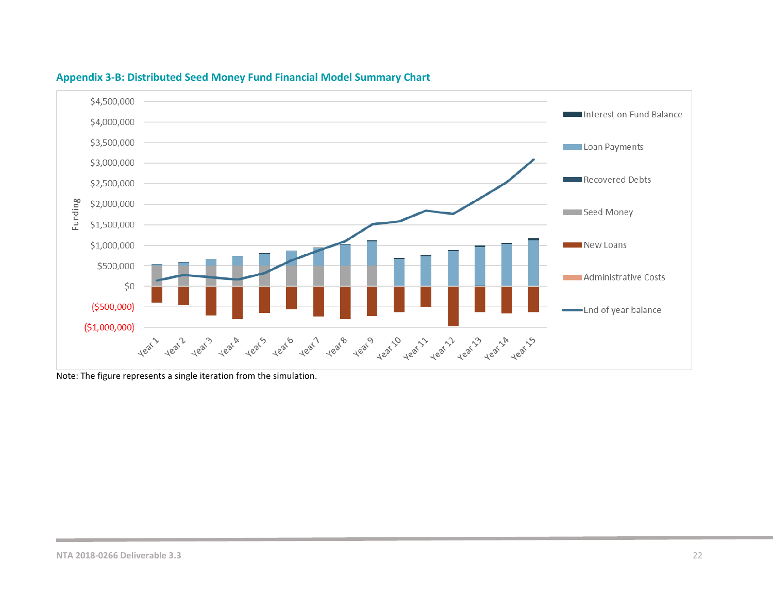

#### **Appendix 3-B: Distributed Seed Money Fund Financial Model Summary Chart**

<span id="page-21-0"></span>Note: The figure represents a single iteration from the simulation.